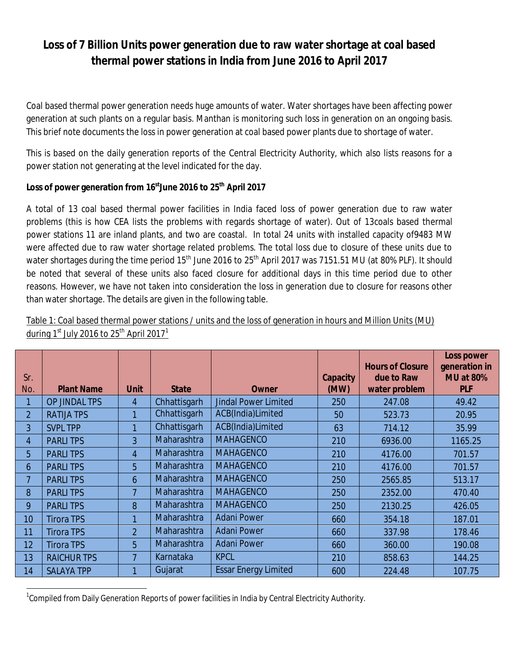# **Loss of 7 Billion Units power generation due to raw water shortage at coal based thermal power stations in India from June 2016 to April 2017**

Coal based thermal power generation needs huge amounts of water. Water shortages have been affecting power generation at such plants on a regular basis. Manthan is monitoring such loss in generation on an ongoing basis. This brief note documents the loss in power generation at coal based power plants due to shortage of water.

This is based on the daily generation reports of the Central Electricity Authority, which also lists reasons for a power station not generating at the level indicated for the day.

### **Loss of power generation from 16 stJune 2016 to 25th April 2017**

A total of 13 coal based thermal power facilities in India faced loss of power generation due to raw water problems (this is how CEA lists the problems with regards shortage of water). Out of 13coals based thermal power stations 11 are inland plants, and two are coastal. In total 24 units with installed capacity of9483 MW were affected due to raw water shortage related problems. The total loss due to closure of these units due to water shortages during the time period 15<sup>th</sup> June 2016 to 25<sup>th</sup> April 2017 was 7151.51 MU (at 80% PLF). It should be noted that several of these units also faced closure for additional days in this time period due to other reasons. However, we have not taken into consideration the loss in generation due to closure for reasons other than water shortage. The details are given in the following table.

|                |                    |                |              |                             |                         | <b>Hours of Closure</b>     | <b>Loss power</b><br>generation in |
|----------------|--------------------|----------------|--------------|-----------------------------|-------------------------|-----------------------------|------------------------------------|
| Sr.<br>No.     | <b>Plant Name</b>  | <b>Unit</b>    | <b>State</b> | <b>Owner</b>                | <b>Capacity</b><br>(MW) | due to Raw<br>water problem | <b>MU at 80%</b><br><b>PLF</b>     |
|                | OP JINDAL TPS      | 4              | Chhattisgarh | <b>Jindal Power Limited</b> | 250                     | 247.08                      | 49.42                              |
| $\overline{2}$ | <b>RATIJA TPS</b>  | 1              | Chhattisgarh | ACB(India)Limited           | 50                      | 523.73                      | 20.95                              |
| 3              | <b>SVPL TPP</b>    | 1              | Chhattisgarh | ACB(India)Limited           | 63                      | 714.12                      | 35.99                              |
| 4              | <b>PARLITPS</b>    | 3              | Maharashtra  | <b>MAHAGENCO</b>            | 210                     | 6936.00                     | 1165.25                            |
| 5              | <b>PARLITPS</b>    | $\overline{4}$ | Maharashtra  | <b>MAHAGENCO</b>            | 210                     | 4176.00                     | 701.57                             |
| 6              | <b>PARLITPS</b>    | 5              | Maharashtra  | <b>MAHAGENCO</b>            | 210                     | 4176.00                     | 701.57                             |
| 7              | <b>PARLITPS</b>    | 6              | Maharashtra  | <b>MAHAGENCO</b>            | 250                     | 2565.85                     | 513.17                             |
| 8              | <b>PARLITPS</b>    | 7              | Maharashtra  | <b>MAHAGENCO</b>            | 250                     | 2352.00                     | 470.40                             |
| 9              | <b>PARLITPS</b>    | 8              | Maharashtra  | <b>MAHAGENCO</b>            | 250                     | 2130.25                     | 426.05                             |
| 10             | <b>Tirora TPS</b>  |                | Maharashtra  | <b>Adani Power</b>          | 660                     | 354.18                      | 187.01                             |
| 11             | <b>Tirora TPS</b>  | $\overline{2}$ | Maharashtra  | <b>Adani Power</b>          | 660                     | 337.98                      | 178.46                             |
| 12             | <b>Tirora TPS</b>  | 5              | Maharashtra  | <b>Adani Power</b>          | 660                     | 360.00                      | 190.08                             |
| 13             | <b>RAICHUR TPS</b> | 7              | Karnataka    | <b>KPCL</b>                 | 210                     | 858.63                      | 144.25                             |
| 14             | <b>SALAYA TPP</b>  |                | Gujarat      | <b>Essar Energy Limited</b> | 600                     | 224.48                      | 107.75                             |

Table 1: Coal based thermal power stations / units and the loss of generation in hours and Million Units (MU) during  $1<sup>st</sup>$  July 2016 to 25<sup>th</sup> April 2017<sup>1</sup>

1

<sup>&</sup>lt;sup>1</sup>Compiled from Daily Generation Reports of power facilities in India by Central Electricity Authority.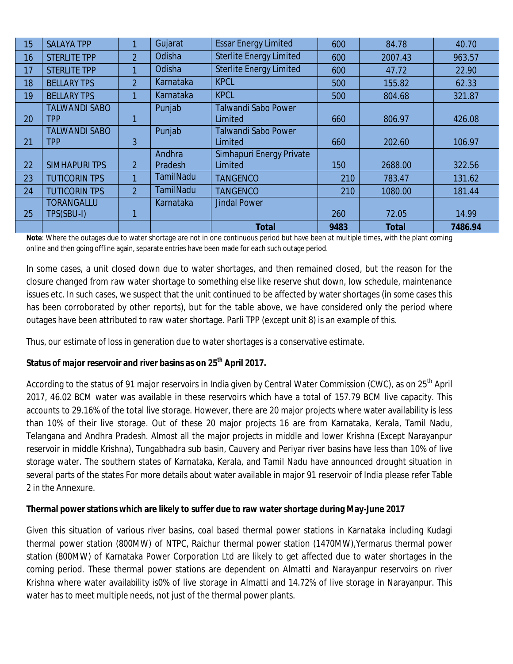| 15 | <b>SALAYA TPP</b>    | 1              | Gujarat          | <b>Essar Energy Limited</b>    | 600  | 84.78        | 40.70   |
|----|----------------------|----------------|------------------|--------------------------------|------|--------------|---------|
| 16 | <b>STERLITE TPP</b>  | $\overline{2}$ | Odisha           | <b>Sterlite Energy Limited</b> | 600  | 2007.43      | 963.57  |
| 17 | <b>STERLITE TPP</b>  | 1              | Odisha           | <b>Sterlite Energy Limited</b> | 600  | 47.72        | 22.90   |
| 18 | <b>BELLARY TPS</b>   | $\overline{2}$ | Karnataka        | <b>KPCL</b>                    | 500  | 155.82       | 62.33   |
| 19 | <b>BELLARY TPS</b>   | 1              | Karnataka        | <b>KPCL</b>                    | 500  | 804.68       | 321.87  |
|    | <b>TALWANDI SABO</b> |                | Punjab           | <b>Talwandi Sabo Power</b>     |      |              |         |
| 20 | TPP                  |                |                  | Limited                        | 660  | 806.97       | 426.08  |
|    | <b>TALWANDI SABO</b> |                | Punjab           | <b>Talwandi Sabo Power</b>     |      |              |         |
| 21 | tpp                  | 3              |                  | Limited                        | 660  | 202.60       | 106.97  |
|    |                      |                | Andhra           | Simhapuri Energy Private       |      |              |         |
| 22 | <b>SIMHAPURI TPS</b> | $\overline{2}$ | Pradesh          | Limited                        | 150  | 2688.00      | 322.56  |
| 23 | <b>TUTICORIN TPS</b> | 1              | TamilNadu        | <b>TANGENCO</b>                | 210  | 783.47       | 131.62  |
| 24 | <b>TUTICORIN TPS</b> | $\overline{2}$ | <b>TamilNadu</b> | <b>TANGENCO</b>                | 210  | 1080.00      | 181.44  |
|    | <b>TORANGALLU</b>    |                | Karnataka        | <b>Jindal Power</b>            |      |              |         |
| 25 | TPS(SBU-I)           | 1              |                  |                                | 260  | 72.05        | 14.99   |
|    |                      |                |                  | <b>Total</b>                   | 9483 | <b>Total</b> | 7486.94 |

**Note**: Where the outages due to water shortage are not in one continuous period but have been at multiple times, with the plant coming online and then going offline again, separate entries have been made for each such outage period.

In some cases, a unit closed down due to water shortages, and then remained closed, but the reason for the closure changed from raw water shortage to something else like reserve shut down, low schedule, maintenance issues etc. In such cases, we suspect that the unit continued to be affected by water shortages (in some cases this has been corroborated by other reports), but for the table above, we have considered only the period where outages have been attributed to raw water shortage. Parli TPP (except unit 8) is an example of this.

Thus, our estimate of loss in generation due to water shortages is a conservative estimate.

#### **Status of major reservoir and river basins as on 25th April 2017.**

According to the status of 91 major reservoirs in India given by Central Water Commission (CWC), as on 25<sup>th</sup> April 2017, 46.02 BCM water was available in these reservoirs which have a total of 157.79 BCM live capacity. This accounts to 29.16% of the total live storage. However, there are 20 major projects where water availability is less than 10% of their live storage. Out of these 20 major projects 16 are from Karnataka, Kerala, Tamil Nadu, Telangana and Andhra Pradesh. Almost all the major projects in middle and lower Krishna (Except Narayanpur reservoir in middle Krishna), Tungabhadra sub basin, Cauvery and Periyar river basins have less than 10% of live storage water. The southern states of Karnataka, Kerala, and Tamil Nadu have announced drought situation in several parts of the states For more details about water available in major 91 reservoir of India please refer Table 2 in the Annexure.

#### **Thermal power stations which are likely to suffer due to raw water shortage during May-June 2017**

Given this situation of various river basins, coal based thermal power stations in Karnataka including Kudagi thermal power station (800MW) of NTPC, Raichur thermal power station (1470MW),Yermarus thermal power station (800MW) of Karnataka Power Corporation Ltd are likely to get affected due to water shortages in the coming period. These thermal power stations are dependent on Almatti and Narayanpur reservoirs on river Krishna where water availability is0% of live storage in Almatti and 14.72% of live storage in Narayanpur. This water has to meet multiple needs, not just of the thermal power plants.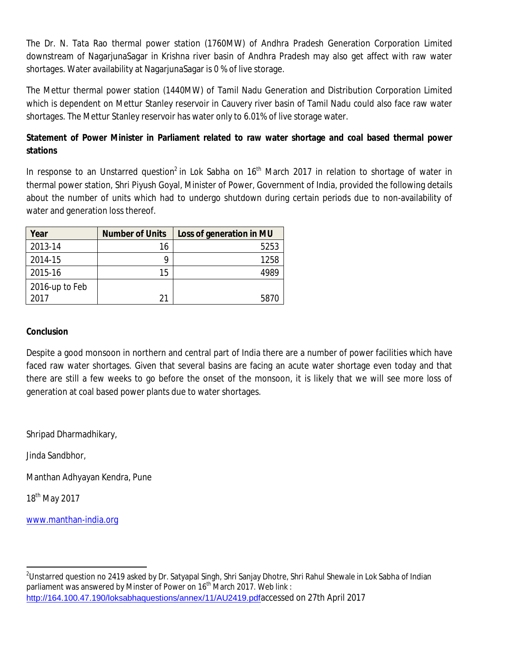The Dr. N. Tata Rao thermal power station (1760MW) of Andhra Pradesh Generation Corporation Limited downstream of NagarjunaSagar in Krishna river basin of Andhra Pradesh may also get affect with raw water shortages. Water availability at NagarjunaSagar is 0 % of live storage.

The Mettur thermal power station (1440MW) of Tamil Nadu Generation and Distribution Corporation Limited which is dependent on Mettur Stanley reservoir in Cauvery river basin of Tamil Nadu could also face raw water shortages. The Mettur Stanley reservoir has water only to 6.01% of live storage water.

## **Statement of Power Minister in Parliament related to raw water shortage and coal based thermal power stations**

In response to an Unstarred question<sup>2</sup> in Lok Sabha on 16<sup>th</sup> March 2017 in relation to shortage of water in thermal power station, Shri Piyush Goyal, Minister of Power, Government of India, provided the following details about the number of units which had to undergo shutdown during certain periods due to non-availability of water and generation loss thereof.

| Year           | <b>Number of Units</b> | Loss of generation in MU |
|----------------|------------------------|--------------------------|
| 2013-14        | 16                     | 5253                     |
| 2014-15        | Q                      | 1258                     |
| 2015-16        | 15                     |                          |
| 2016-up to Feb |                        |                          |
| 2017           | 21                     | 5870                     |

#### **Conclusion**

Despite a good monsoon in northern and central part of India there are a number of power facilities which have faced raw water shortages. Given that several basins are facing an acute water shortage even today and that there are still a few weeks to go before the onset of the monsoon, it is likely that we will see more loss of generation at coal based power plants due to water shortages.

Shripad Dharmadhikary,

Jinda Sandbhor,

Manthan Adhyayan Kendra, Pune

18th May 2017

 $\overline{a}$ 

[www.manthan-india.org](http://www.manthan-india.org)

 $^2$ Unstarred question no 2419 asked by Dr. Satyapal Singh, Shri Sanjay Dhotre, Shri Rahul Shewale in Lok Sabha of Indian parliament was answered by Minster of Power on 16<sup>th</sup> March 2017. Web link : <http://164.100.47.190/loksabhaquestions/annex/11/AU2419.pdf>accessed on 27th April 2017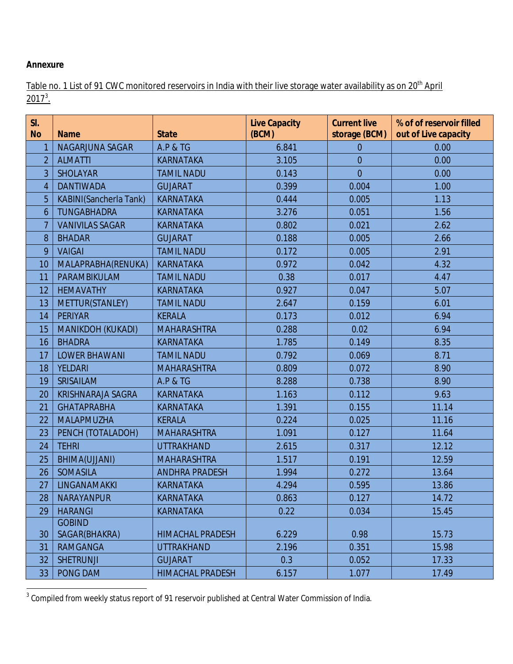#### **Annexure**

Table no. 1 List of 91 CWC monitored reservoirs in India with their live storage water availability as on 20<sup>th</sup> April  $2017^3$ .

| SI.<br><b>No</b> | <b>Name</b>                    | <b>State</b>            | <b>Live Capacity</b><br>(BCM) | <b>Current live</b><br>storage (BCM) | % of of reservoir filled<br>out of Live capacity |
|------------------|--------------------------------|-------------------------|-------------------------------|--------------------------------------|--------------------------------------------------|
| 1                | NAGARJUNA SAGAR                | <b>A.P &amp; TG</b>     | 6.841                         | $\overline{0}$                       | 0.00                                             |
| $\overline{2}$   | <b>ALMATTI</b>                 | <b>KARNATAKA</b>        | 3.105                         | $\overline{0}$                       | 0.00                                             |
| 3                | <b>SHOLAYAR</b>                | <b>TAMIL NADU</b>       | 0.143                         | $\overline{0}$                       | 0.00                                             |
| $\overline{4}$   | <b>DANTIWADA</b>               | <b>GUJARAT</b>          | 0.399                         | 0.004                                | 1.00                                             |
| 5                | <b>KABINI(Sancherla Tank)</b>  | <b>KARNATAKA</b>        | 0.444                         | 0.005                                | 1.13                                             |
| 6                | <b>TUNGABHADRA</b>             | <b>KARNATAKA</b>        | 3.276                         | 0.051                                | 1.56                                             |
| 7                | <b>VANIVILAS SAGAR</b>         | <b>KARNATAKA</b>        | 0.802                         | 0.021                                | 2.62                                             |
| 8                | <b>BHADAR</b>                  | <b>GUJARAT</b>          | 0.188                         | 0.005                                | 2.66                                             |
| 9                | <b>VAIGAI</b>                  | <b>TAMIL NADU</b>       | 0.172                         | 0.005                                | 2.91                                             |
| 10               | MALAPRABHA(RENUKA)             | <b>KARNATAKA</b>        | 0.972                         | 0.042                                | 4.32                                             |
| 11               | PARAMBIKULAM                   | <b>TAMIL NADU</b>       | 0.38                          | 0.017                                | 4.47                                             |
| 12               | <b>HEMAVATHY</b>               | <b>KARNATAKA</b>        | 0.927                         | 0.047                                | 5.07                                             |
| 13               | METTUR(STANLEY)                | <b>TAMIL NADU</b>       | 2.647                         | 0.159                                | 6.01                                             |
| 14               | <b>PERIYAR</b>                 | <b>KERALA</b>           | 0.173                         | 0.012                                | 6.94                                             |
| 15               | <b>MANIKDOH (KUKADI)</b>       | <b>MAHARASHTRA</b>      | 0.288                         | 0.02                                 | 6.94                                             |
| 16               | <b>BHADRA</b>                  | <b>KARNATAKA</b>        | 1.785                         | 0.149                                | 8.35                                             |
| 17               | <b>LOWER BHAWANI</b>           | <b>TAMIL NADU</b>       | 0.792                         | 0.069                                | 8.71                                             |
| 18               | <b>YELDARI</b>                 | <b>MAHARASHTRA</b>      | 0.809                         | 0.072                                | 8.90                                             |
| 19               | SRISAILAM                      | <b>A.P &amp; TG</b>     | 8.288                         | 0.738                                | 8.90                                             |
| 20               | <b>KRISHNARAJA SAGRA</b>       | <b>KARNATAKA</b>        | 1.163                         | 0.112                                | 9.63                                             |
| 21               | <b>GHATAPRABHA</b>             | <b>KARNATAKA</b>        | 1.391                         | 0.155                                | 11.14                                            |
| 22               | <b>MALAPMUZHA</b>              | <b>KERALA</b>           | 0.224                         | 0.025                                | 11.16                                            |
| 23               | PENCH (TOTALADOH)              | <b>MAHARASHTRA</b>      | 1.091                         | 0.127                                | 11.64                                            |
| 24               | <b>TEHRI</b>                   | <b>UTTRAKHAND</b>       | 2.615                         | 0.317                                | 12.12                                            |
| 25               | BHIMA(UJJANI)                  | <b>MAHARASHTRA</b>      | 1.517                         | 0.191                                | 12.59                                            |
| 26               | <b>SOMASILA</b>                | <b>ANDHRA PRADESH</b>   | 1.994                         | 0.272                                | 13.64                                            |
| 27               | LINGANAMAKKI                   | <b>KARNATAKA</b>        | 4.294                         | 0.595                                | 13.86                                            |
| 28               | <b>NARAYANPUR</b>              | <b>KARNATAKA</b>        | 0.863                         | 0.127                                | 14.72                                            |
| 29               | <b>HARANGI</b>                 | <b>KARNATAKA</b>        | 0.22                          | 0.034                                | 15.45                                            |
| 30               | <b>GOBIND</b><br>SAGAR(BHAKRA) | <b>HIMACHAL PRADESH</b> | 6.229                         | 0.98                                 | 15.73                                            |
| 31               | <b>RAMGANGA</b>                | <b>UTTRAKHAND</b>       | 2.196                         | 0.351                                | 15.98                                            |
|                  | <b>SHETRUNJI</b>               |                         |                               |                                      |                                                  |
| 32               |                                | <b>GUJARAT</b>          | 0.3                           | 0.052                                | 17.33                                            |
| 33               | PONG DAM                       | <b>HIMACHAL PRADESH</b> | 6.157                         | 1.077                                | 17.49                                            |

 3 Compiled from weekly status report of 91 reservoir published at Central Water Commission of India.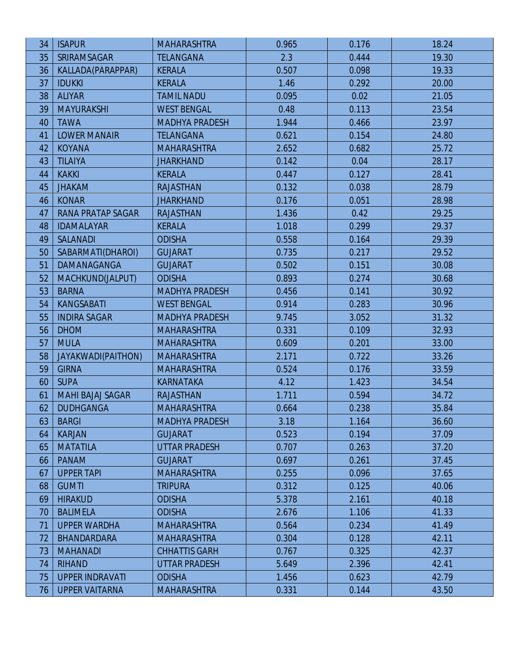| 34 | <b>ISAPUR</b>            | <b>MAHARASHTRA</b>    | 0.965 | 0.176 | 18.24 |
|----|--------------------------|-----------------------|-------|-------|-------|
| 35 | <b>SRIRAMSAGAR</b>       | <b>TELANGANA</b>      | 2.3   | 0.444 | 19.30 |
| 36 | KALLADA(PARAPPAR)        | <b>KERALA</b>         | 0.507 | 0.098 | 19.33 |
| 37 | <b>IDUKKI</b>            | <b>KERALA</b>         | 1.46  | 0.292 | 20.00 |
| 38 | <b>ALIYAR</b>            | <b>TAMIL NADU</b>     | 0.095 | 0.02  | 21.05 |
| 39 | <b>MAYURAKSHI</b>        | <b>WEST BENGAL</b>    | 0.48  | 0.113 | 23.54 |
| 40 | <b>TAWA</b>              | <b>MADHYA PRADESH</b> | 1.944 | 0.466 | 23.97 |
| 41 | <b>LOWER MANAIR</b>      | <b>TELANGANA</b>      | 0.621 | 0.154 | 24.80 |
| 42 | <b>KOYANA</b>            | <b>MAHARASHTRA</b>    | 2.652 | 0.682 | 25.72 |
| 43 | <b>TILAIYA</b>           | <b>JHARKHAND</b>      | 0.142 | 0.04  | 28.17 |
| 44 | <b>KAKKI</b>             | <b>KERALA</b>         | 0.447 | 0.127 | 28.41 |
| 45 | <b>JHAKAM</b>            | <b>RAJASTHAN</b>      | 0.132 | 0.038 | 28.79 |
| 46 | <b>KONAR</b>             | <b>JHARKHAND</b>      | 0.176 | 0.051 | 28.98 |
| 47 | <b>RANA PRATAP SAGAR</b> | <b>RAJASTHAN</b>      | 1.436 | 0.42  | 29.25 |
| 48 | <b>IDAMALAYAR</b>        | <b>KERALA</b>         | 1.018 | 0.299 | 29.37 |
| 49 | <b>SALANADI</b>          | <b>ODISHA</b>         | 0.558 | 0.164 | 29.39 |
| 50 | SABARMATI(DHAROI)        | <b>GUJARAT</b>        | 0.735 | 0.217 | 29.52 |
| 51 | DAMANAGANGA              | <b>GUJARAT</b>        | 0.502 | 0.151 | 30.08 |
| 52 | MACHKUND(JALPUT)         | <b>ODISHA</b>         | 0.893 | 0.274 | 30.68 |
| 53 | <b>BARNA</b>             | <b>MADHYA PRADESH</b> | 0.456 | 0.141 | 30.92 |
| 54 | <b>KANGSABATI</b>        | <b>WEST BENGAL</b>    | 0.914 | 0.283 | 30.96 |
| 55 | <b>INDIRA SAGAR</b>      | <b>MADHYA PRADESH</b> | 9.745 | 3.052 | 31.32 |
| 56 | <b>DHOM</b>              | <b>MAHARASHTRA</b>    | 0.331 | 0.109 | 32.93 |
| 57 | <b>MULA</b>              | <b>MAHARASHTRA</b>    | 0.609 | 0.201 | 33.00 |
| 58 | JAYAKWADI(PAITHON)       | <b>MAHARASHTRA</b>    | 2.171 | 0.722 | 33.26 |
| 59 | <b>GIRNA</b>             | <b>MAHARASHTRA</b>    | 0.524 | 0.176 | 33.59 |
| 60 | <b>SUPA</b>              | <b>KARNATAKA</b>      | 4.12  | 1.423 | 34.54 |
| 61 | <b>MAHI BAJAJ SAGAR</b>  | <b>RAJASTHAN</b>      | 1.711 | 0.594 | 34.72 |
| 62 | <b>DUDHGANGA</b>         | <b>MAHARASHTRA</b>    | 0.664 | 0.238 | 35.84 |
| 63 | <b>BARGI</b>             | <b>MADHYA PRADESH</b> | 3.18  | 1.164 | 36.60 |
| 64 | <b>KARJAN</b>            | <b>GUJARAT</b>        | 0.523 | 0.194 | 37.09 |
| 65 | <b>MATATILA</b>          | <b>UTTAR PRADESH</b>  | 0.707 | 0.263 | 37.20 |
| 66 | <b>PANAM</b>             | <b>GUJARAT</b>        | 0.697 | 0.261 | 37.45 |
| 67 | <b>UPPER TAPI</b>        | <b>MAHARASHTRA</b>    | 0.255 | 0.096 | 37.65 |
| 68 | <b>GUMTI</b>             | <b>TRIPURA</b>        | 0.312 | 0.125 | 40.06 |
| 69 | <b>HIRAKUD</b>           | <b>ODISHA</b>         | 5.378 | 2.161 | 40.18 |
| 70 | <b>BALIMELA</b>          | <b>ODISHA</b>         | 2.676 | 1.106 | 41.33 |
| 71 | <b>UPPER WARDHA</b>      | <b>MAHARASHTRA</b>    | 0.564 | 0.234 | 41.49 |
| 72 | <b>BHANDARDARA</b>       | <b>MAHARASHTRA</b>    | 0.304 | 0.128 | 42.11 |
| 73 | <b>MAHANADI</b>          | <b>CHHATTIS GARH</b>  | 0.767 | 0.325 | 42.37 |
| 74 | <b>RIHAND</b>            | <b>UTTAR PRADESH</b>  | 5.649 | 2.396 | 42.41 |
| 75 | <b>UPPER INDRAVATI</b>   | <b>ODISHA</b>         | 1.456 | 0.623 | 42.79 |
| 76 | <b>UPPER VAITARNA</b>    | <b>MAHARASHTRA</b>    | 0.331 | 0.144 | 43.50 |